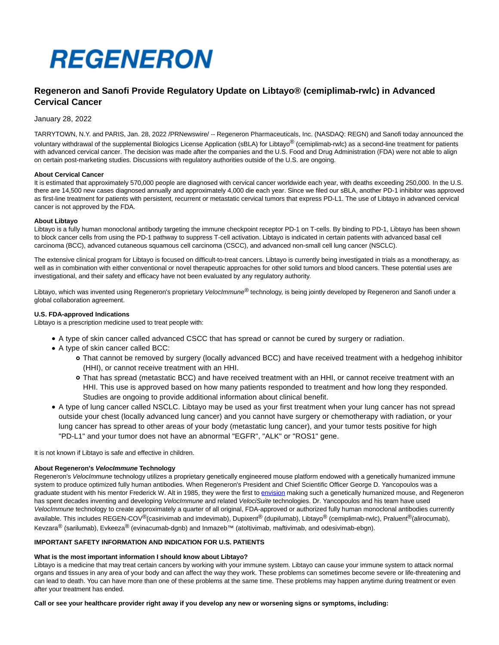

# **Regeneron and Sanofi Provide Regulatory Update on Libtayo® (cemiplimab-rwlc) in Advanced Cervical Cancer**

January 28, 2022

TARRYTOWN, N.Y. and PARIS, Jan. 28, 2022 /PRNewswire/ -- Regeneron Pharmaceuticals, Inc. (NASDAQ: REGN) and Sanofi today announced the voluntary withdrawal of the supplemental Biologics License Application (sBLA) for Libtayo® (cemiplimab-rwlc) as a second-line treatment for patients with advanced cervical cancer. The decision was made after the companies and the U.S. Food and Drug Administration (FDA) were not able to align on certain post-marketing studies. Discussions with regulatory authorities outside of the U.S. are ongoing.

# **About Cervical Cancer**

It is estimated that approximately 570,000 people are diagnosed with cervical cancer worldwide each year, with deaths exceeding 250,000. In the U.S. there are 14,500 new cases diagnosed annually and approximately 4,000 die each year. Since we filed our sBLA, another PD-1 inhibitor was approved as first-line treatment for patients with persistent, recurrent or metastatic cervical tumors that express PD-L1. The use of Libtayo in advanced cervical cancer is not approved by the FDA.

### **About Libtayo**

Libtayo is a fully human monoclonal antibody targeting the immune checkpoint receptor PD-1 on T-cells. By binding to PD-1, Libtayo has been shown to block cancer cells from using the PD-1 pathway to suppress T-cell activation. Libtayo is indicated in certain patients with advanced basal cell carcinoma (BCC), advanced cutaneous squamous cell carcinoma (CSCC), and advanced non-small cell lung cancer (NSCLC).

The extensive clinical program for Libtayo is focused on difficult-to-treat cancers. Libtayo is currently being investigated in trials as a monotherapy, as well as in combination with either conventional or novel therapeutic approaches for other solid tumors and blood cancers. These potential uses are investigational, and their safety and efficacy have not been evaluated by any regulatory authority.

Libtayo, which was invented using Regeneron's proprietary Veloclmmune® technology, is being jointly developed by Regeneron and Sanofi under a global collaboration agreement.

### **U.S. FDA-approved Indications**

Libtayo is a prescription medicine used to treat people with:

- A type of skin cancer called advanced CSCC that has spread or cannot be cured by surgery or radiation.
- A type of skin cancer called BCC:
	- That cannot be removed by surgery (locally advanced BCC) and have received treatment with a hedgehog inhibitor (HHI), or cannot receive treatment with an HHI.
	- That has spread (metastatic BCC) and have received treatment with an HHI, or cannot receive treatment with an HHI. This use is approved based on how many patients responded to treatment and how long they responded. Studies are ongoing to provide additional information about clinical benefit.
- A type of lung cancer called NSCLC. Libtayo may be used as your first treatment when your lung cancer has not spread outside your chest (locally advanced lung cancer) and you cannot have surgery or chemotherapy with radiation, or your lung cancer has spread to other areas of your body (metastatic lung cancer), and your tumor tests positive for high "PD-L1" and your tumor does not have an abnormal "EGFR", "ALK" or "ROS1" gene.

It is not known if Libtayo is safe and effective in children.

### **About Regeneron's VelocImmune Technology**

Regeneron's VelocImmune technology utilizes a proprietary genetically engineered mouse platform endowed with a genetically humanized immune system to produce optimized fully human antibodies. When Regeneron's President and Chief Scientific Officer George D. Yancopoulos was a graduate student with his mentor Frederick W. Alt in 1985, they were the first to [envision m](https://c212.net/c/link/?t=0&l=en&o=3426739-1&h=3399758400&u=https%3A%2F%2Fc212.net%2Fc%2Flink%2F%3Ft%3D0%26l%3Den%26o%3D3387026-1%26h%3D1560991416%26u%3Dhttps%253A%252F%252Fwww.sciencedirect.com%252Fscience%252Farticle%252Fabs%252Fpii%252F0168952585900897%26a%3Denvision&a=envision)aking such a genetically humanized mouse, and Regeneron has spent decades inventing and developing Veloclmmune and related VelociSuite technologies. Dr. Yancopoulos and his team have used VelocImmune technology to create approximately a quarter of all original, FDA-approved or authorized fully human monoclonal antibodies currently available. This includes REGEN-COV<sup>®</sup>(casirivimab and imdevimab), Dupixent<sup>®</sup> (dupilumab), Libtayo<sup>®</sup> (cemiplimab-rwlc), Praluent<sup>®</sup>(alirocumab), Kevzara<sup>®</sup> (sarilumab), Evkeeza<sup>®</sup> (evinacumab-dgnb) and Inmazeb™ (atoltivimab, maftivimab, and odesivimab-ebgn).

# **IMPORTANT SAFETY INFORMATION AND INDICATION FOR U.S. PATIENTS**

### **What is the most important information I should know about Libtayo?**

Libtayo is a medicine that may treat certain cancers by working with your immune system. Libtayo can cause your immune system to attack normal organs and tissues in any area of your body and can affect the way they work. These problems can sometimes become severe or life-threatening and can lead to death. You can have more than one of these problems at the same time. These problems may happen anytime during treatment or even after your treatment has ended.

**Call or see your healthcare provider right away if you develop any new or worsening signs or symptoms, including:**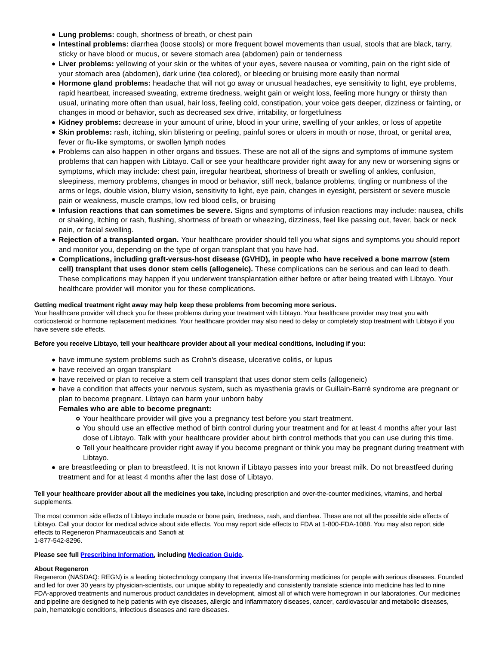- **Lung problems:** cough, shortness of breath, or chest pain
- **Intestinal problems:** diarrhea (loose stools) or more frequent bowel movements than usual, stools that are black, tarry, sticky or have blood or mucus, or severe stomach area (abdomen) pain or tenderness
- **Liver problems:** yellowing of your skin or the whites of your eyes, severe nausea or vomiting, pain on the right side of your stomach area (abdomen), dark urine (tea colored), or bleeding or bruising more easily than normal
- **Hormone gland problems:** headache that will not go away or unusual headaches, eye sensitivity to light, eye problems, rapid heartbeat, increased sweating, extreme tiredness, weight gain or weight loss, feeling more hungry or thirsty than usual, urinating more often than usual, hair loss, feeling cold, constipation, your voice gets deeper, dizziness or fainting, or changes in mood or behavior, such as decreased sex drive, irritability, or forgetfulness
- **Kidney problems:** decrease in your amount of urine, blood in your urine, swelling of your ankles, or loss of appetite
- **Skin problems:** rash, itching, skin blistering or peeling, painful sores or ulcers in mouth or nose, throat, or genital area, fever or flu-like symptoms, or swollen lymph nodes
- Problems can also happen in other organs and tissues. These are not all of the signs and symptoms of immune system problems that can happen with Libtayo. Call or see your healthcare provider right away for any new or worsening signs or symptoms, which may include: chest pain, irregular heartbeat, shortness of breath or swelling of ankles, confusion, sleepiness, memory problems, changes in mood or behavior, stiff neck, balance problems, tingling or numbness of the arms or legs, double vision, blurry vision, sensitivity to light, eye pain, changes in eyesight, persistent or severe muscle pain or weakness, muscle cramps, low red blood cells, or bruising
- **Infusion reactions that can sometimes be severe.** Signs and symptoms of infusion reactions may include: nausea, chills or shaking, itching or rash, flushing, shortness of breath or wheezing, dizziness, feel like passing out, fever, back or neck pain, or facial swelling.
- **Rejection of a transplanted organ.** Your healthcare provider should tell you what signs and symptoms you should report and monitor you, depending on the type of organ transplant that you have had.
- **Complications, including graft-versus-host disease (GVHD), in people who have received a bone marrow (stem cell) transplant that uses donor stem cells (allogeneic).** These complications can be serious and can lead to death. These complications may happen if you underwent transplantation either before or after being treated with Libtayo. Your healthcare provider will monitor you for these complications.

# **Getting medical treatment right away may help keep these problems from becoming more serious.**

Your healthcare provider will check you for these problems during your treatment with Libtayo. Your healthcare provider may treat you with corticosteroid or hormone replacement medicines. Your healthcare provider may also need to delay or completely stop treatment with Libtayo if you have severe side effects.

# **Before you receive Libtayo, tell your healthcare provider about all your medical conditions, including if you:**

- have immune system problems such as Crohn's disease, ulcerative colitis, or lupus
- have received an organ transplant
- have received or plan to receive a stem cell transplant that uses donor stem cells (allogeneic)
- have a condition that affects your nervous system, such as myasthenia gravis or Guillain-Barré syndrome are pregnant or plan to become pregnant. Libtayo can harm your unborn baby

# **Females who are able to become pregnant:**

- Your healthcare provider will give you a pregnancy test before you start treatment.
- You should use an effective method of birth control during your treatment and for at least 4 months after your last dose of Libtayo. Talk with your healthcare provider about birth control methods that you can use during this time.
- Tell your healthcare provider right away if you become pregnant or think you may be pregnant during treatment with Libtayo.
- are breastfeeding or plan to breastfeed. It is not known if Libtayo passes into your breast milk. Do not breastfeed during treatment and for at least 4 months after the last dose of Libtayo.

# **Tell your healthcare provider about all the medicines you take,** including prescription and over-the-counter medicines, vitamins, and herbal supplements.

The most common side effects of Libtayo include muscle or bone pain, tiredness, rash, and diarrhea. These are not all the possible side effects of Libtayo. Call your doctor for medical advice about side effects. You may report side effects to FDA at 1-800-FDA-1088. You may also report side effects to Regeneron Pharmaceuticals and Sanofi at 1-877-542-8296.

# **Please see full [Prescribing Information,](https://c212.net/c/link/?t=0&l=en&o=3426739-1&h=321311065&u=https%3A%2F%2Fwww.regeneron.com%2Fsites%2Fdefault%2Ffiles%2FLibtayo_FPI.pdf&a=Prescribing+Information) including [Medication Guide.](https://c212.net/c/link/?t=0&l=en&o=3426739-1&h=58119385&u=https%3A%2F%2Fwww.regeneron.com%2Fsites%2Fdefault%2Ffiles%2Fx1216(3)a.pdf&a=Medication+Guide)**

# **About Regeneron**

Regeneron (NASDAQ: REGN) is a leading biotechnology company that invents life-transforming medicines for people with serious diseases. Founded and led for over 30 years by physician-scientists, our unique ability to repeatedly and consistently translate science into medicine has led to nine FDA-approved treatments and numerous product candidates in development, almost all of which were homegrown in our laboratories. Our medicines and pipeline are designed to help patients with eye diseases, allergic and inflammatory diseases, cancer, cardiovascular and metabolic diseases, pain, hematologic conditions, infectious diseases and rare diseases.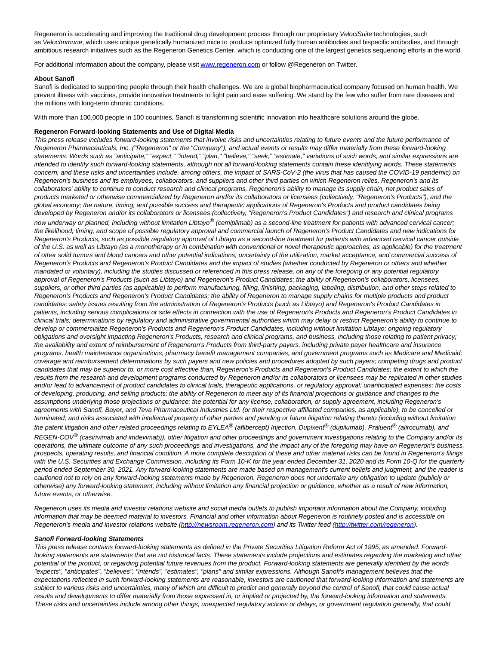Regeneron is accelerating and improving the traditional drug development process through our proprietary VelociSuite technologies, such as VelocImmune, which uses unique genetically humanized mice to produce optimized fully human antibodies and bispecific antibodies, and through ambitious research initiatives such as the Regeneron Genetics Center, which is conducting one of the largest genetics sequencing efforts in the world.

For additional information about the company, please visi[t www.regeneron.com o](https://c212.net/c/link/?t=0&l=en&o=3426739-1&h=2670925675&u=https%3A%2F%2Fc212.net%2Fc%2Flink%2F%3Ft%3D0%26l%3Den%26o%3D3397793-1%26h%3D695290165%26u%3Dhttp%253A%252F%252Fwww.regeneron.com%252F%26a%3Dwww.regeneron.com&a=www.regeneron.com)r follow @Regeneron on Twitter.

# **About Sanofi**

Sanofi is dedicated to supporting people through their health challenges. We are a global biopharmaceutical company focused on human health. We prevent illness with vaccines, provide innovative treatments to fight pain and ease suffering. We stand by the few who suffer from rare diseases and the millions with long-term chronic conditions.

With more than 100,000 people in 100 countries, Sanofi is transforming scientific innovation into healthcare solutions around the globe.

### **Regeneron Forward-looking Statements and Use of Digital Media**

This press release includes forward-looking statements that involve risks and uncertainties relating to future events and the future performance of Regeneron Pharmaceuticals, Inc. ("Regeneron" or the "Company"), and actual events or results may differ materially from these forward-looking statements. Words such as "anticipate," "expect," "intend," "plan," "believe," "seek," "estimate," variations of such words, and similar expressions are intended to identify such forward-looking statements, although not all forward-looking statements contain these identifying words. These statements concern, and these risks and uncertainties include, among others, the impact of SARS-CoV-2 (the virus that has caused the COVID-19 pandemic) on Regeneron's business and its employees, collaborators, and suppliers and other third parties on which Regeneron relies, Regeneron's and its collaborators' ability to continue to conduct research and clinical programs, Regeneron's ability to manage its supply chain, net product sales of products marketed or otherwise commercialized by Regeneron and/or its collaborators or licensees (collectively, "Regeneron's Products"), and the global economy; the nature, timing, and possible success and therapeutic applications of Regeneron's Products and product candidates being developed by Regeneron and/or its collaborators or licensees (collectively, "Regeneron's Product Candidates") and research and clinical programs now underway or planned, including without limitation Libtayo® (cemiplimab) as a second-line treatment for patients with advanced cervical cancer; the likelihood, timing, and scope of possible regulatory approval and commercial launch of Regeneron's Product Candidates and new indications for Regeneron's Products, such as possible regulatory approval of Libtayo as a second-line treatment for patients with advanced cervical cancer outside of the U.S. as well as Libtayo (as a monotherapy or in combination with conventional or novel therapeutic approaches, as applicable) for the treatment of other solid tumors and blood cancers and other potential indications; uncertainty of the utilization, market acceptance, and commercial success of Regeneron's Products and Regeneron's Product Candidates and the impact of studies (whether conducted by Regeneron or others and whether mandated or voluntary), including the studies discussed or referenced in this press release, on any of the foregoing or any potential regulatory approval of Regeneron's Products (such as Libtayo) and Regeneron's Product Candidates; the ability of Regeneron's collaborators, licensees, suppliers, or other third parties (as applicable) to perform manufacturing, filling, finishing, packaging, labeling, distribution, and other steps related to Regeneron's Products and Regeneron's Product Candidates; the ability of Regeneron to manage supply chains for multiple products and product candidates; safety issues resulting from the administration of Regeneron's Products (such as Libtayo) and Regeneron's Product Candidates in patients, including serious complications or side effects in connection with the use of Regeneron's Products and Regeneron's Product Candidates in clinical trials; determinations by regulatory and administrative governmental authorities which may delay or restrict Regeneron's ability to continue to develop or commercialize Regeneron's Products and Regeneron's Product Candidates, including without limitation Libtayo; ongoing regulatory obligations and oversight impacting Regeneron's Products, research and clinical programs, and business, including those relating to patient privacy; the availability and extent of reimbursement of Regeneron's Products from third-party payers, including private payer healthcare and insurance programs, health maintenance organizations, pharmacy benefit management companies, and government programs such as Medicare and Medicaid; coverage and reimbursement determinations by such payers and new policies and procedures adopted by such payers; competing drugs and product candidates that may be superior to, or more cost effective than, Regeneron's Products and Regeneron's Product Candidates; the extent to which the results from the research and development programs conducted by Regeneron and/or its collaborators or licensees may be replicated in other studies and/or lead to advancement of product candidates to clinical trials, therapeutic applications, or regulatory approval; unanticipated expenses; the costs of developing, producing, and selling products; the ability of Regeneron to meet any of its financial projections or guidance and changes to the assumptions underlying those projections or guidance; the potential for any license, collaboration, or supply agreement, including Regeneron's agreements with Sanofi, Bayer, and Teva Pharmaceutical Industries Ltd. (or their respective affiliated companies, as applicable), to be cancelled or terminated; and risks associated with intellectual property of other parties and pending or future litigation relating thereto (including without limitation the patent litigation and other related proceedings relating to EYLEA® (aflibercept) Injection, Dupixent<sup>®</sup> (dupilumab), Praluent<sup>®</sup> (alirocumab), and REGEN-COV<sup>®</sup> (casirivimab and imdevimab)), other litigation and other proceedings and government investigations relating to the Company and/or its operations, the ultimate outcome of any such proceedings and investigations, and the impact any of the foregoing may have on Regeneron's business, prospects, operating results, and financial condition. A more complete description of these and other material risks can be found in Regeneron's filings with the U.S. Securities and Exchange Commission, including its Form 10-K for the year ended December 31, 2020 and its Form 10-Q for the quarterly period ended September 30, 2021. Any forward-looking statements are made based on management's current beliefs and judgment, and the reader is cautioned not to rely on any forward-looking statements made by Regeneron. Regeneron does not undertake any obligation to update (publicly or otherwise) any forward-looking statement, including without limitation any financial projection or guidance, whether as a result of new information, future events, or otherwise.

Regeneron uses its media and investor relations website and social media outlets to publish important information about the Company, including information that may be deemed material to investors. Financial and other information about Regeneron is routinely posted and is accessible on Regeneron's media and investor relations website [\(http://newsroom.regeneron.com\)](https://c212.net/c/link/?t=0&l=en&o=3426739-1&h=3061988695&u=http%3A%2F%2Fnewsroom.regeneron.com%2F&a=http%3A%2F%2Fnewsroom.regeneron.com) and its Twitter feed [\(http://twitter.com/regeneron\).](https://c212.net/c/link/?t=0&l=en&o=3426739-1&h=1446564519&u=http%3A%2F%2Ftwitter.com%2Fregeneron&a=http%3A%2F%2Ftwitter.com%2Fregeneron)

### **Sanofi Forward-looking Statements**

This press release contains forward-looking statements as defined in the Private Securities Litigation Reform Act of 1995, as amended. Forwardlooking statements are statements that are not historical facts. These statements include projections and estimates regarding the marketing and other potential of the product, or regarding potential future revenues from the product. Forward-looking statements are generally identified by the words "expects", "anticipates", "believes", "intends", "estimates", "plans" and similar expressions. Although Sanofi's management believes that the expectations reflected in such forward-looking statements are reasonable, investors are cautioned that forward-looking information and statements are subject to various risks and uncertainties, many of which are difficult to predict and generally beyond the control of Sanofi, that could cause actual results and developments to differ materially from those expressed in, or implied or projected by, the forward-looking information and statements. These risks and uncertainties include among other things, unexpected regulatory actions or delays, or government regulation generally, that could